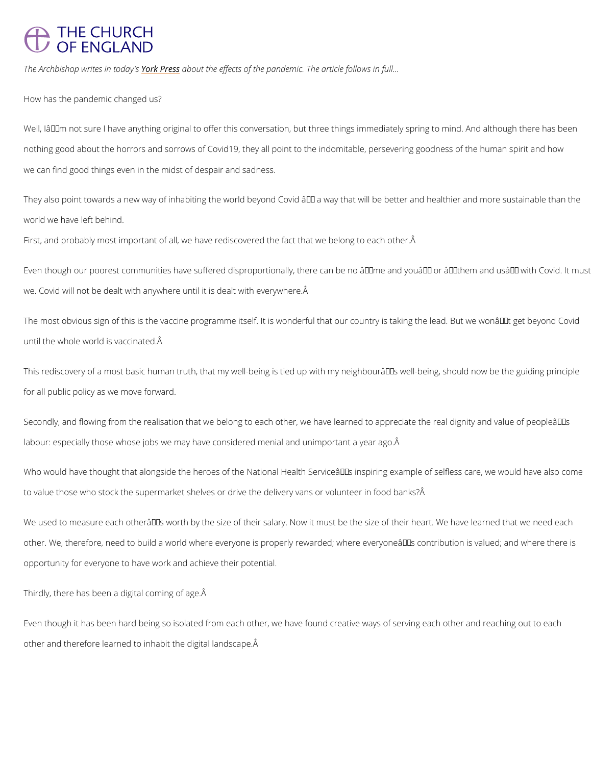## **THE CHURCH** OF ENGLAND

The Archbishop writes rknPtreeds as witche effects of the pandemic. The article follows in full...

How has the pandemic changed us?

Well,  $I\hat{a} \in I^M$ m not sure I have anything original to offer this conversation, but three things im nothing good about the horrors and sorrows of Covid19, they all point to the indomitable, per we can find good things even in the midst of despair and sadness.

They also point towards a new way of inhabiting the world beyond Covid â $\epsilon$ " a way that will b world we have left behind.

First, and probably most important of all, we have rediscovered the fact that we belong to ea

Even though our poorest communities have suffered disproportionally, there can be no  $\hat{a} \in \tilde{m}$  e we. Covid will not be dealt with anywhere until it is dealt with everywhere.

The most obvious sign of this is the vaccine programme itself. It is wonderful that our counti until the whole world is vaccinated.

This rediscovery of a most basic human truth, that my well-being is tied up with my neighbou for all public policy as we move forward.

Secondly, and flowing from the realisation that we belong to each other, we have learned to labour: especially those whose jobs we may have considered menial and unimportant a year a

Who would have thought that alongside the heroes of the National Health Serviceâ $\in$  TMs inspir to value those who stock the supermarket shelves or drive the delivery vans or volunteer in f

We used to measure each otherâ $\epsilon \tau$  s worth by the size of their salary. Now it must be the size other. We, therefore, need to build a world where everyone is properly rewarded; where ever opportunity for everyone to have work and achieve their potential.

Thirdly, there has been a digital coming of age.

Even though it has been hard being so isolated from each other, we have found creative ways

other and therefore learned to inhabit the digital landscape.